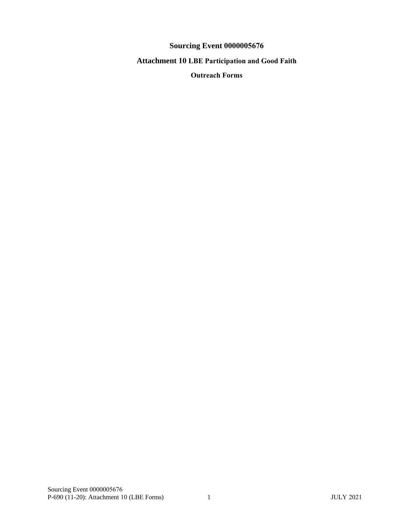**Sourcing Event 0000005676**

**Attachment 10 LBE Participation and Good Faith** 

**Outreach Forms**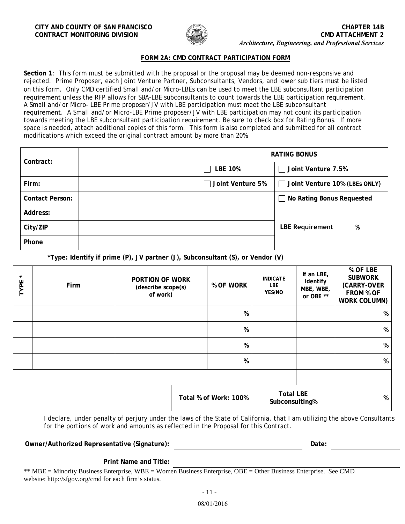

# **FORM 2A: CMD CONTRACT PARTICIPATION FORM**

**Section 1**: This form must be submitted with the proposal or the proposal may be deemed non-responsive and rejected. Prime Proposer, each Joint Venture Partner, Subconsultants, Vendors, and lower sub tiers must be listed on this form. Only CMD certified Small and/or Micro-LBEs can be used to meet the LBE subconsultant participation requirement unless the RFP allows for SBA-LBE subconsultants to count towards the LBE participation requirement. A Small and/or Micro- LBE Prime proposer/JV with LBE participation must meet the LBE subconsultant requirement. A Small and/or Micro-LBE Prime proposer/JV with LBE participation may not count its participation towards meeting the LBE subconsultant participation requirement. Be sure to check box for Rating Bonus. If more space is needed, attach additional copies of this form. This form is also completed and submitted for all contract modifications which exceed the original contract amount by more than 20%.

| Contract:              | <b>RATING BONUS</b>                               |                                  |  |  |
|------------------------|---------------------------------------------------|----------------------------------|--|--|
|                        | <b>LBE 10%</b>                                    | Joint Venture 7.5%<br>$\perp$    |  |  |
| Firm:                  | Joint Venture 5%<br>Joint Venture 10% (LBEs ONLY) |                                  |  |  |
| <b>Contact Person:</b> |                                                   | $\Box$ No Rating Bonus Requested |  |  |
| Address:               |                                                   |                                  |  |  |
| City/ZIP               |                                                   | <b>LBE Requirement</b><br>%      |  |  |
| Phone                  |                                                   |                                  |  |  |

**\*Type: Identify if prime (P), JV partner (J), Subconsultant (S), or Vendor (V)**

| $\star$<br>TYPE | Firm | <b>PORTION OF WORK</b><br>(describe scope(s)<br>of work) | % OF WORK             | <b>INDICATE</b><br><b>LBE</b><br>YES/NO | If an LBE,<br>Identify<br>MBE, WBE,<br>or OBE ** | % OF LBE<br><b>SUBWORK</b><br>(CARRY-OVER<br>FROM % OF<br>WORK COLUMN) |
|-----------------|------|----------------------------------------------------------|-----------------------|-----------------------------------------|--------------------------------------------------|------------------------------------------------------------------------|
|                 |      |                                                          | %                     |                                         |                                                  | %                                                                      |
|                 |      |                                                          | %                     |                                         |                                                  | %                                                                      |
|                 |      |                                                          | %                     |                                         |                                                  | %                                                                      |
|                 |      |                                                          | %                     |                                         |                                                  | %                                                                      |
|                 |      |                                                          |                       |                                         |                                                  |                                                                        |
|                 |      |                                                          | Total % of Work: 100% | <b>Total LBE</b><br>Subconsulting%      |                                                  | %                                                                      |

I declare, under penalty of perjury under the laws of the State of California, that I am utilizing the above Consultants for the portions of work and amounts as reflected in the Proposal for this Contract.

**Owner/Authorized Representative (Signature): Date:**

**Print Name and Title:**

\*\* MBE = Minority Business Enterprise, WBE = Women Business Enterprise, OBE = Other Business Enterprise. See CMD website: http://sfgov.org/cmd for each firm's status.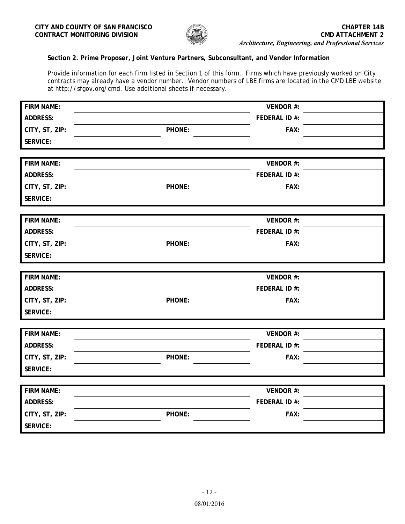

# **Section 2. Prime Proposer, Joint Venture Partners, Subconsultant, and Vendor Information**

Provide information for each firm listed in Section 1 of this form. Firms which have previously worked on City contracts may already have a vendor number. Vendor numbers of LBE firms are located in the CMD LBE website at http://sfgov.org/cmd. Use additional sheets if necessary.

| <b>FIRM NAME:</b>                 | VENDOR #:      |  |
|-----------------------------------|----------------|--|
| <b>ADDRESS:</b>                   | FEDERAL ID #:  |  |
| CITY, ST, ZIP:                    | PHONE:<br>FAX: |  |
| <b>SERVICE:</b>                   |                |  |
|                                   |                |  |
| <b>FIRM NAME:</b>                 | VENDOR #:      |  |
| <b>ADDRESS:</b>                   | FEDERAL ID #:  |  |
| CITY, ST, ZIP:                    | PHONE:<br>FAX: |  |
| <b>SERVICE:</b>                   |                |  |
|                                   |                |  |
| <b>FIRM NAME:</b>                 | VENDOR #:      |  |
| <b>ADDRESS:</b>                   | FEDERAL ID #:  |  |
| CITY, ST, ZIP:                    | PHONE:<br>FAX: |  |
| <b>SERVICE:</b>                   |                |  |
|                                   |                |  |
| <b>FIRM NAME:</b>                 | VENDOR #:      |  |
| <b>ADDRESS:</b>                   | FEDERAL ID #:  |  |
| CITY, ST, ZIP:                    | PHONE:<br>FAX: |  |
| <b>SERVICE:</b>                   |                |  |
|                                   |                |  |
| <b>FIRM NAME:</b>                 | VENDOR #:      |  |
| <b>ADDRESS:</b>                   | FEDERAL ID #:  |  |
| CITY, ST, ZIP:                    | PHONE:<br>FAX: |  |
| <b>SERVICE:</b>                   |                |  |
|                                   |                |  |
|                                   |                |  |
| <b>FIRM NAME:</b>                 | VENDOR #:      |  |
| <b>ADDRESS:</b>                   | FEDERAL ID #:  |  |
| CITY, ST, ZIP:<br><b>SERVICE:</b> | FAX:<br>PHONE: |  |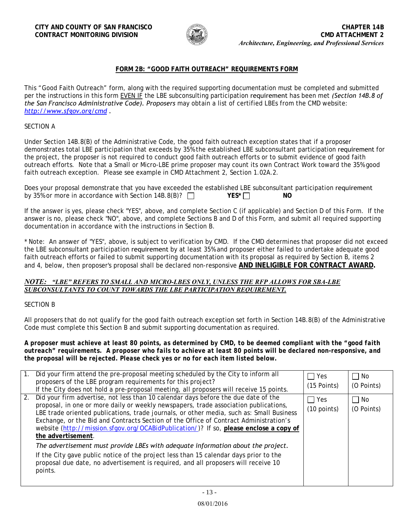

# **FORM 2B: "GOOD FAITH OUTREACH" REQUIREMENTS FORM**

This "Good Faith Outreach" form, along with the required supporting documentation must be completed and submitted per the instructions in this form EVEN IF the LBE subconsulting participation requirement has been met *(Section 14B.8 of the San Francisco Administrative Code). Proposers* may obtain a list of certified LBEs from the CMD website: *http://www.sfgov.org/cmd .*

#### SECTION A

Under Section 14B.8(B) of the Administrative Code, the good faith outreach exception states that if a proposer demonstrates total LBE participation that exceeds by 35% the established LBE subconsultant participation requirement for the project, the proposer is not required to conduct good faith outreach efforts or to submit evidence of good faith outreach efforts. Note that a Small or Micro-LBE prime proposer may count its own Contract Work toward the 35% good faith outreach exception. Please see example in CMD Attachment 2, Section 1.02A.2.

| Does your proposal demonstrate that you have exceeded the established LBE subconsultant participation requirement |              |     |  |
|-------------------------------------------------------------------------------------------------------------------|--------------|-----|--|
| by 35% or more in accordance with Section 14B.8(B)? $\Box$                                                        | $YES^{\ast}$ | NO. |  |

If the answer is yes, please check "YES", above, and complete Section C (if applicable) and Section D of this Form. If the answer is no, please check "NO", above, and complete Sections B and D of this Form, and submit all required supporting documentation in accordance with the instructions in Section B.

\* Note: An answer of "YES", above, is subject to verification by CMD. If the CMD determines that proposer did not exceed the LBE subconsultant participation requirement by at least 35% and proposer either failed to undertake adequate good faith outreach efforts or failed to submit supporting documentation with its proposal as required by Section B, items 2 and 4, below, then proposer's proposal shall be declared non-responsive **AND INELIGIBLE FOR CONTRACT AWARD.**

### *NOTE: "LBE" REFERS TO SMALL AND MICRO-LBES ONLY, UNLESS THE RFP ALLOWS FOR SBA-LBE SUBCONSULTANTS TO COUNT TOWARDS THE LBE PARTICIPATION REQUIREMENT.*

#### SECTION B

All proposers that do not qualify for the good faith outreach exception set forth in Section 14B.8(B) of the Administrative Code must complete this Section B and submit supporting documentation as required.

*A proposer must achieve at least 80 points, as determined by CMD, to be deemed compliant with the "good faith outreach" requirements. A proposer who fails to achieve at least 80 points will be declared non-responsive, and the proposal will be rejected. Please check yes or no for each item listed below.* 

|    | Did your firm attend the pre-proposal meeting scheduled by the City to inform all<br>proposers of the LBE program requirements for this project?<br>If the City does not hold a pre-proposal meeting, all proposers will receive 15 points.                                                                                                                                                                                                                                                                                                                                                                                                                                                                                                                   | $\Box$ Yes<br>$(15$ Points) | No.<br>(O Points)       |
|----|---------------------------------------------------------------------------------------------------------------------------------------------------------------------------------------------------------------------------------------------------------------------------------------------------------------------------------------------------------------------------------------------------------------------------------------------------------------------------------------------------------------------------------------------------------------------------------------------------------------------------------------------------------------------------------------------------------------------------------------------------------------|-----------------------------|-------------------------|
| 2. | Did your firm advertise, not less than 10 calendar days before the due date of the<br>proposal, in one or more daily or weekly newspapers, trade association publications,<br>LBE trade oriented publications, trade journals, or other media, such as: Small Business<br>Exchange, or the Bid and Contracts Section of the Office of Contract Administration's<br>website (http://mission.sfgov.org/OCABidPublication/)? If so, please enclose a copy of<br>the advertisement.<br>The advertisement must provide LBEs with adequate information about the project.<br>If the City gave public notice of the project less than 15 calendar days prior to the<br>proposal due date, no advertisement is required, and all proposers will receive 10<br>points. | $\Box$ Yes<br>$(10$ points) | $\Box$ No<br>(O Points) |
|    |                                                                                                                                                                                                                                                                                                                                                                                                                                                                                                                                                                                                                                                                                                                                                               |                             |                         |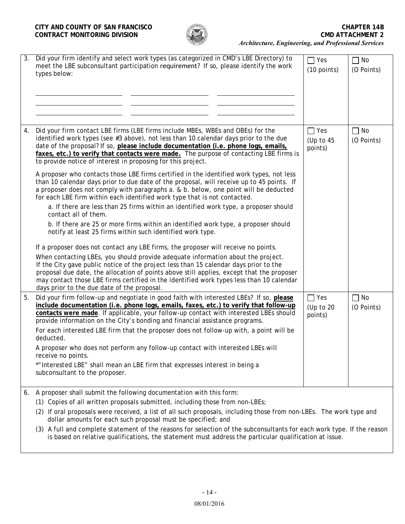

| 3. | Did your firm identify and select work types (as categorized in CMD's LBE Directory) to<br>meet the LBE subconsultant participation requirement? If so, please identify the work<br>types below:                                                                                                                                                                                                                          | $\Box$ Yes<br>$(10$ points)          | $\Box$ No<br>(O Points) |
|----|---------------------------------------------------------------------------------------------------------------------------------------------------------------------------------------------------------------------------------------------------------------------------------------------------------------------------------------------------------------------------------------------------------------------------|--------------------------------------|-------------------------|
|    |                                                                                                                                                                                                                                                                                                                                                                                                                           |                                      |                         |
| 4. | Did your firm contact LBE firms (LBE firms include MBEs, WBEs and OBEs) for the<br>identified work types (see #3 above), not less than 10 calendar days prior to the due<br>date of the proposal? If so, please include documentation (i.e. phone logs, emails,<br>faxes, etc.) to verify that contacts were made. The purpose of contacting LBE firms is<br>to provide notice of interest in proposing for this project. | $\Box$ Yes<br>(Up to $45$<br>points) | $\Box$ No<br>(O Points) |
|    | A proposer who contacts those LBE firms certified in the identified work types, not less<br>than 10 calendar days prior to due date of the proposal, will receive up to 45 points. If<br>a proposer does not comply with paragraphs a. & b. below, one point will be deducted<br>for each LBE firm within each identified work type that is not contacted.                                                                |                                      |                         |
|    | a. If there are less than 25 firms within an identified work type, a proposer should<br>contact all of them.                                                                                                                                                                                                                                                                                                              |                                      |                         |
|    | b. If there are 25 or more firms within an identified work type, a proposer should<br>notify at least 25 firms within such identified work type.                                                                                                                                                                                                                                                                          |                                      |                         |
|    | If a proposer does not contact any LBE firms, the proposer will receive no points.                                                                                                                                                                                                                                                                                                                                        |                                      |                         |
|    | When contacting LBEs, you should provide adequate information about the project.<br>If the City gave public notice of the project less than 15 calendar days prior to the<br>proposal due date, the allocation of points above still applies, except that the proposer<br>may contact those LBE firms certified in the identified work types less than 10 calendar<br>days prior to the due date of the proposal.         |                                      |                         |
| 5. | Did your firm follow-up and negotiate in good faith with interested LBEs? If so, please<br>include documentation (i.e. phone logs, emails, faxes, etc.) to verify that follow-up<br>contacts were made. If applicable, your follow-up contact with interested LBEs should<br>provide information on the City's bonding and financial assistance programs.                                                                 | $\Box$ Yes<br>(Up to 20<br>points)   | $\Box$ No<br>(O Points) |
|    | For each interested LBE firm that the proposer does not follow-up with, a point will be<br>deducted.                                                                                                                                                                                                                                                                                                                      |                                      |                         |
|    | A proposer who does not perform any follow-up contact with interested LBEs will<br>receive no points.                                                                                                                                                                                                                                                                                                                     |                                      |                         |
|    | *"Interested LBE" shall mean an LBE firm that expresses interest in being a<br>subconsultant to the proposer.                                                                                                                                                                                                                                                                                                             |                                      |                         |
| 6. | A proposer shall submit the following documentation with this form:                                                                                                                                                                                                                                                                                                                                                       |                                      |                         |
|    | (1) Copies of all written proposals submitted, including those from non-LBEs;                                                                                                                                                                                                                                                                                                                                             |                                      |                         |
|    | (2) If oral proposals were received, a list of all such proposals, including those from non-LBEs. The work type and<br>dollar amounts for each such proposal must be specified; and                                                                                                                                                                                                                                       |                                      |                         |
|    | (3) A full and complete statement of the reasons for selection of the subconsultants for each work type. If the reason<br>is based on relative qualifications, the statement must address the particular qualification at issue.                                                                                                                                                                                          |                                      |                         |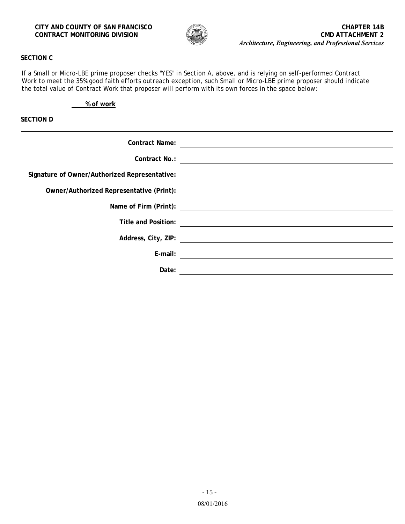

# **SECTION C**

If a Small or Micro-LBE prime proposer checks "YES" in Section A, above, and is relying on self-performed Contract Work to meet the 35% good faith efforts outreach exception, such Small or Micro-LBE prime proposer should indicate the total value of Contract Work that proposer will perform with its own forces in the space below:

**% of work**

**SECTION D**

| <b>Contract Name:</b> |                                                                                                                      |
|-----------------------|----------------------------------------------------------------------------------------------------------------------|
| Contract No.:         |                                                                                                                      |
|                       | Signature of Owner/Authorized Representative: __________________________________                                     |
|                       |                                                                                                                      |
|                       | Name of Firm (Print):                                                                                                |
| Title and Position:   |                                                                                                                      |
|                       | <u> 1980 - Jan Samuel Barbara, martin di sebagai personal di sebagai personal di sebagai personal di sebagai per</u> |
|                       |                                                                                                                      |
| E-mail:               |                                                                                                                      |
| Date:                 |                                                                                                                      |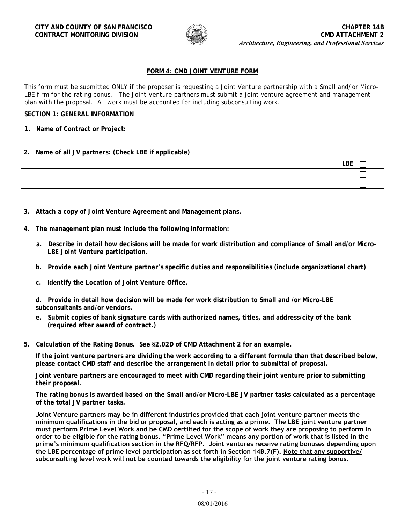

# **FORM 4: CMD JOINT VENTURE FORM**

This form must be submitted ONLY if the proposer is requesting a Joint Venture partnership with a Small and/or Micro-LBE firm for the rating bonus. The Joint Venture partners must submit a joint venture agreement and management plan with the proposal. All work must be accounted for including subconsulting work.

### **SECTION 1: GENERAL INFORMATION**

**1. Name of Contract or Project:**

### **2. Name of all JV partners: (Check LBE if applicable)**

| LBE |
|-----|
|     |
|     |
|     |

- **3. Attach a copy of Joint Venture Agreement and Management plans.**
- **4. The management plan must include the following information:**
	- **a. Describe in detail how decisions will be made for work distribution and compliance of Small and/or Micro-LBE Joint Venture participation.**
	- **b. Provide each Joint Venture partner's specific duties and responsibilities (include organizational chart)**
	- **c. Identify the Location of Joint Venture Office.**

**d. Provide in detail how decision will be made for work distribution to Small and /or Micro-LBE subconsultants and/or vendors.** 

- **e. Submit copies of bank signature cards with authorized names, titles, and address/city of the bank (required after award of contract.)**
- **5. Calculation of the Rating Bonus. See §2.02D of CMD Attachment 2 for an example.**

**If the joint venture partners are dividing the work according to a different formula than that described below, please contact CMD staff and describe the arrangement in detail prior to submittal of proposal.**

**Joint venture partners are encouraged to meet with CMD regarding their joint venture prior to submitting their proposal.**

**The rating bonus is awarded based on the Small and/or Micro-LBE JV partner tasks calculated as a percentage of the total JV partner tasks.**

**Joint Venture partners may be in different industries provided that each joint venture partner meets the minimum qualifications in the bid or proposal, and each is acting as a prime. The LBE joint venture partner must perform Prime Level Work and be CMD certified for the scope of work they are proposing to perform in order to be eligible for the rating bonus. "Prime Level Work" means any portion of work that is listed in the prime's minimum qualification section in the RFQ/RFP. Joint ventures receive rating bonuses depending upon the LBE percentage of prime level participation as set forth in Section 14B.7(F). Note that any supportive/ subconsulting level work will not be counted towards the eligibility for the joint venture rating bonus.**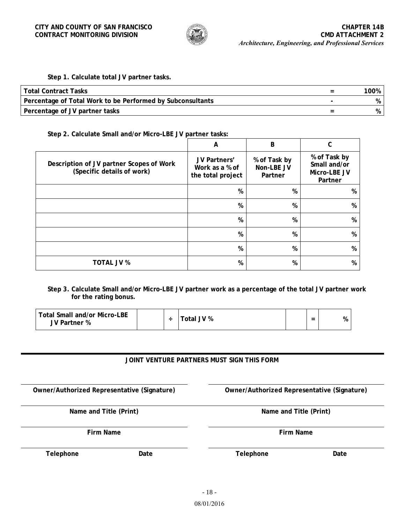

# **Step 1. Calculate total JV partner tasks.**

| Total Contract Tasks                                       |   | 100% |
|------------------------------------------------------------|---|------|
| Percentage of Total Work to be Performed by Subconsultants |   |      |
| Percentage of JV partner tasks                             | - |      |

### **Step 2. Calculate Small and/or Micro-LBE JV partner tasks:**

|                                                                        | A                                                   | B                                     |                                                         |
|------------------------------------------------------------------------|-----------------------------------------------------|---------------------------------------|---------------------------------------------------------|
| Description of JV partner Scopes of Work<br>(Specific details of work) | JV Partners'<br>Work as a % of<br>the total project | % of Task by<br>Non-LBE JV<br>Partner | % of Task by<br>Small and/or<br>Micro-LBE JV<br>Partner |
|                                                                        | %                                                   | %                                     | %                                                       |
|                                                                        | %                                                   | %                                     | %                                                       |
|                                                                        | %                                                   | %                                     | %                                                       |
|                                                                        | %                                                   | %                                     | %                                                       |
|                                                                        | %                                                   | %                                     | %                                                       |
| TOTAL JV %                                                             | %                                                   | %                                     | %                                                       |

**Step 3. Calculate Small and/or Micro-LBE JV partner work as a percentage of the total JV partner work for the rating bonus.**

| <b>Total Small and/or Micro-LBE</b><br>JV Partner % | - | Total JV % |  | $\overline{\phantom{0}}$<br>$\overline{\phantom{a}}$ | % |
|-----------------------------------------------------|---|------------|--|------------------------------------------------------|---|
|-----------------------------------------------------|---|------------|--|------------------------------------------------------|---|

## **JOINT VENTURE PARTNERS MUST SIGN THIS FORM**

**Name and Title (Print) Name and Title (Print)**

**Telephone Date Telephone Date**

**Owner/Authorized Representative (Signature) Owner/Authorized Representative (Signature)**

**Firm Name Firm Name**

08/01/2016